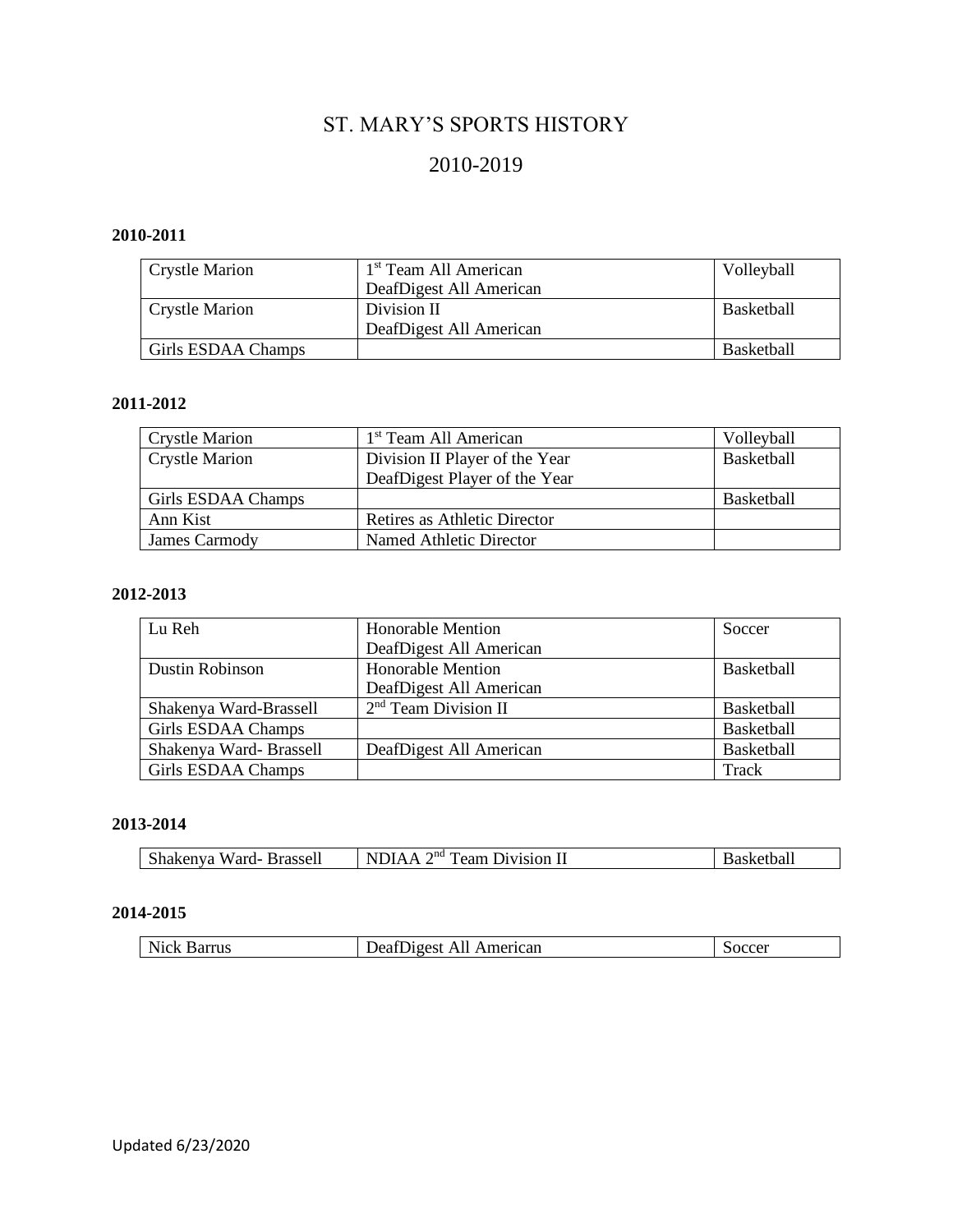# ST. MARY'S SPORTS HISTORY

## 2010-2019

### **2010-2011**

| <b>Crystle Marion</b> | 1 <sup>st</sup> Team All American | Volleyball        |
|-----------------------|-----------------------------------|-------------------|
|                       | DeafDigest All American           |                   |
| <b>Crystle Marion</b> | Division II                       | Basketball        |
|                       | DeafDigest All American           |                   |
| Girls ESDAA Champs    |                                   | <b>Basketball</b> |

### **2011-2012**

| <b>Crystle Marion</b> | 1 <sup>st</sup> Team All American | Volleyball        |
|-----------------------|-----------------------------------|-------------------|
| <b>Crystle Marion</b> | Division II Player of the Year    | <b>Basketball</b> |
|                       | DeafDigest Player of the Year     |                   |
| Girls ESDAA Champs    |                                   | <b>Basketball</b> |
| Ann Kist              | Retires as Athletic Director      |                   |
| James Carmody         | Named Athletic Director           |                   |

#### **2012-2013**

| Lu Reh                  | <b>Honorable Mention</b> | Soccer            |
|-------------------------|--------------------------|-------------------|
|                         | DeafDigest All American  |                   |
| <b>Dustin Robinson</b>  | <b>Honorable Mention</b> | <b>Basketball</b> |
|                         | DeafDigest All American  |                   |
| Shakenya Ward-Brassell  | $2nd$ Team Division II   | <b>Basketball</b> |
| Girls ESDAA Champs      |                          | <b>Basketball</b> |
| Shakenya Ward- Brassell | DeafDigest All American  | Basketball        |
| Girls ESDAA Champs      |                          | Track             |

## **2013-2014**

| Shakenya Ward- Brassell | NDIAA $2nd$ Team Division II | Basketball |
|-------------------------|------------------------------|------------|
|                         |                              |            |

#### **2014-2015**

| Nick<br>Barrus | American<br>Jeat I<br>AII<br>Jioest | $\alpha$<br>NCL |
|----------------|-------------------------------------|-----------------|
|                |                                     |                 |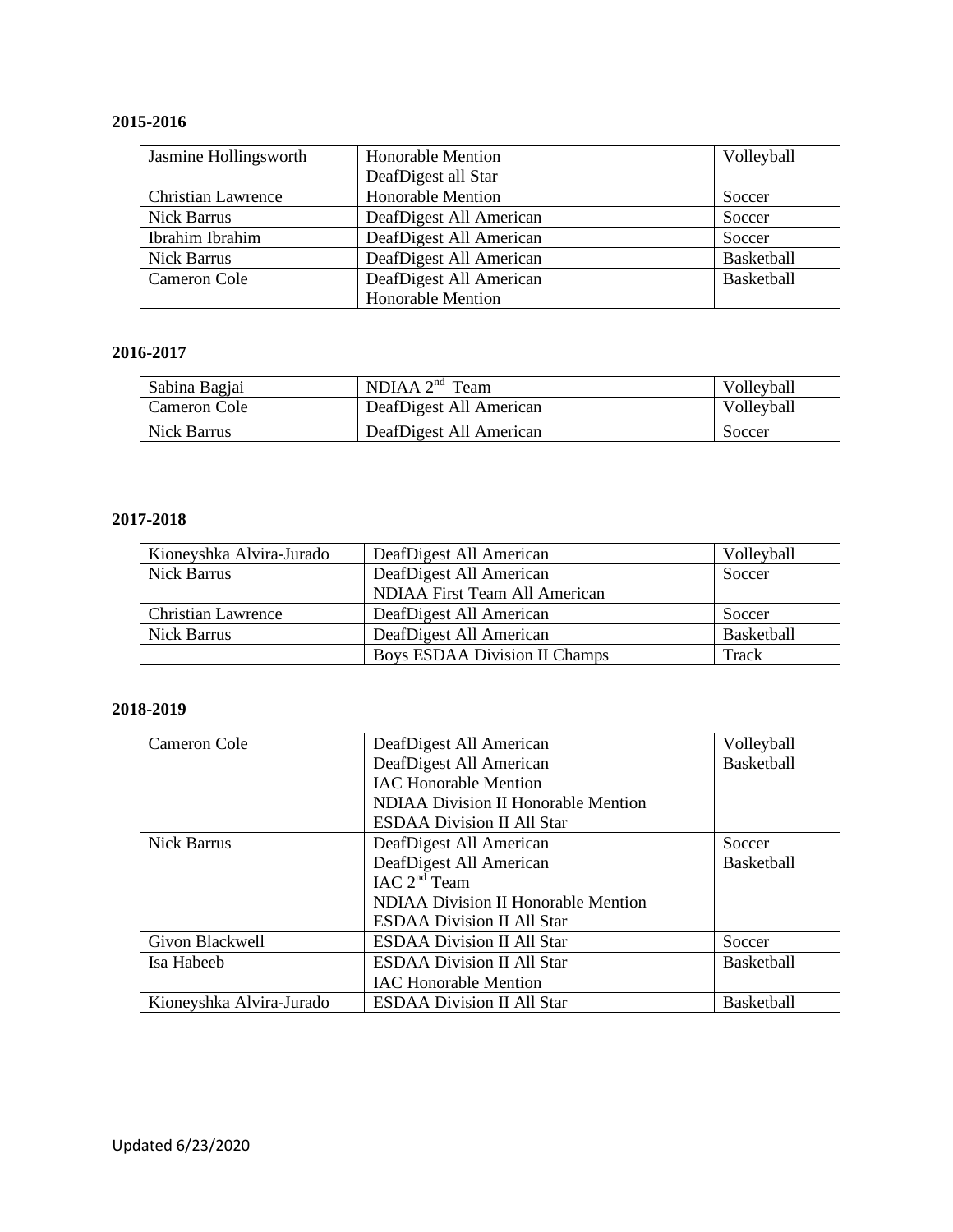## **2015-2016**

| Jasmine Hollingsworth     | <b>Honorable Mention</b> | Volleyball |
|---------------------------|--------------------------|------------|
|                           | DeafDigest all Star      |            |
| <b>Christian Lawrence</b> | <b>Honorable Mention</b> | Soccer     |
| <b>Nick Barrus</b>        | DeafDigest All American  | Soccer     |
| Ibrahim Ibrahim           | DeafDigest All American  | Soccer     |
| <b>Nick Barrus</b>        | DeafDigest All American  | Basketball |
| Cameron Cole              | DeafDigest All American  | Basketball |
|                           | <b>Honorable Mention</b> |            |

## **2016-2017**

| Sabina Bagjai | NDIAA $2nd$ Team        | Volleyball |
|---------------|-------------------------|------------|
| Cameron Cole  | DeafDigest All American | Volleyball |
| Nick Barrus   | DeafDigest All American | Soccer     |

#### **2017-2018**

| Kioneyshka Alvira-Jurado  | DeafDigest All American              | Volleyball |
|---------------------------|--------------------------------------|------------|
| Nick Barrus               | DeafDigest All American              | Soccer     |
|                           | NDIAA First Team All American        |            |
| <b>Christian Lawrence</b> | DeafDigest All American              | Soccer     |
| Nick Barrus               | DeafDigest All American              | Basketball |
|                           | <b>Boys ESDAA Division II Champs</b> | Track      |

#### **2018-2019**

| Cameron Cole             | DeafDigest All American                    | Volleyball        |
|--------------------------|--------------------------------------------|-------------------|
|                          | DeafDigest All American                    | <b>Basketball</b> |
|                          | <b>IAC Honorable Mention</b>               |                   |
|                          | <b>NDIAA Division II Honorable Mention</b> |                   |
|                          | <b>ESDAA Division II All Star</b>          |                   |
| Nick Barrus              | DeafDigest All American                    | Soccer            |
|                          | DeafDigest All American                    | <b>Basketball</b> |
|                          | IAC $2nd$ Team                             |                   |
|                          | <b>NDIAA Division II Honorable Mention</b> |                   |
|                          | <b>ESDAA Division II All Star</b>          |                   |
| Givon Blackwell          | <b>ESDAA Division II All Star</b>          | Soccer            |
| Isa Habeeb               | <b>ESDAA Division II All Star</b>          | <b>Basketball</b> |
|                          | <b>IAC Honorable Mention</b>               |                   |
| Kioneyshka Alvira-Jurado | <b>ESDAA Division II All Star</b>          | <b>Basketball</b> |